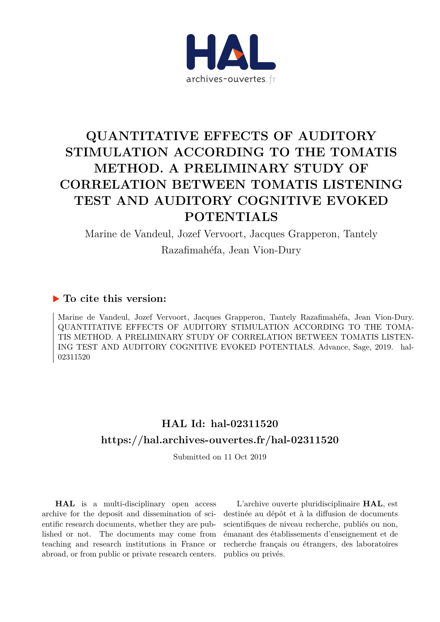

# **QUANTITATIVE EFFECTS OF AUDITORY STIMULATION ACCORDING TO THE TOMATIS METHOD. A PRELIMINARY STUDY OF CORRELATION BETWEEN TOMATIS LISTENING TEST AND AUDITORY COGNITIVE EVOKED POTENTIALS**

Marine de Vandeul, Jozef Vervoort, Jacques Grapperon, Tantely Razafimahéfa, Jean Vion-Dury

# **To cite this version:**

Marine de Vandeul, Jozef Vervoort, Jacques Grapperon, Tantely Razafimahéfa, Jean Vion-Dury. QUANTITATIVE EFFECTS OF AUDITORY STIMULATION ACCORDING TO THE TOMA-TIS METHOD. A PRELIMINARY STUDY OF CORRELATION BETWEEN TOMATIS LISTEN-ING TEST AND AUDITORY COGNITIVE EVOKED POTENTIALS. Advance, Sage, 2019. hal-02311520ff

# **HAL Id: hal-02311520 <https://hal.archives-ouvertes.fr/hal-02311520>**

Submitted on 11 Oct 2019

**HAL** is a multi-disciplinary open access archive for the deposit and dissemination of scientific research documents, whether they are published or not. The documents may come from teaching and research institutions in France or abroad, or from public or private research centers.

L'archive ouverte pluridisciplinaire **HAL**, est destinée au dépôt et à la diffusion de documents scientifiques de niveau recherche, publiés ou non, émanant des établissements d'enseignement et de recherche français ou étrangers, des laboratoires publics ou privés.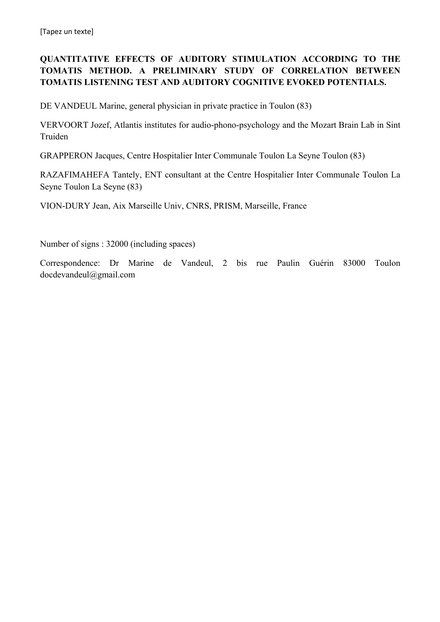# **QUANTITATIVE EFFECTS OF AUDITORY STIMULATION ACCORDING TO THE TOMATIS METHOD. A PRELIMINARY STUDY OF CORRELATION BETWEEN TOMATIS LISTENING TEST AND AUDITORY COGNITIVE EVOKED POTENTIALS.**

DE VANDEUL Marine, general physician in private practice in Toulon (83)

VERVOORT Jozef, Atlantis institutes for audio-phono-psychology and the Mozart Brain Lab in Sint Truiden

GRAPPERON Jacques, Centre Hospitalier Inter Communale Toulon La Seyne Toulon (83)

RAZAFIMAHEFA Tantely, ENT consultant at the Centre Hospitalier Inter Communale Toulon La Seyne Toulon La Seyne (83)

VION-DURY Jean, Aix Marseille Univ, CNRS, PRISM, Marseille, France

Number of signs : 32000 (including spaces)

Correspondence: Dr Marine de Vandeul, 2 bis rue Paulin Guérin 83000 Toulon docdevandeul@gmail.com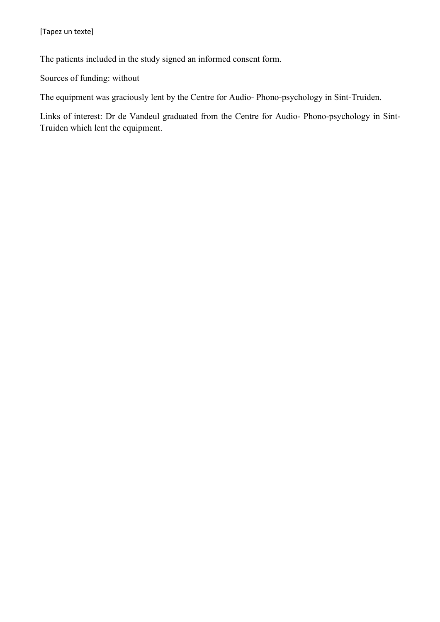The patients included in the study signed an informed consent form.

Sources of funding: without

The equipment was graciously lent by the Centre for Audio- Phono-psychology in Sint-Truiden.

Links of interest: Dr de Vandeul graduated from the Centre for Audio- Phono-psychology in Sint-Truiden which lent the equipment.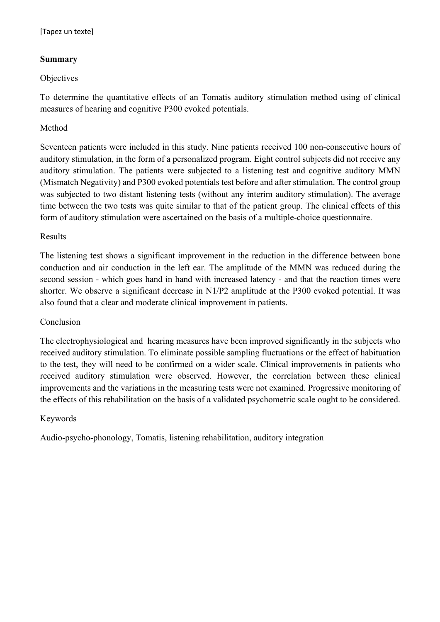#### **Summary**

#### **Objectives**

To determine the quantitative effects of an Tomatis auditory stimulation method using of clinical measures of hearing and cognitive P300 evoked potentials.

#### Method

Seventeen patients were included in this study. Nine patients received 100 non-consecutive hours of auditory stimulation, in the form of a personalized program. Eight control subjects did not receive any auditory stimulation. The patients were subjected to a listening test and cognitive auditory MMN (Mismatch Negativity) and P300 evoked potentials test before and after stimulation. The control group was subjected to two distant listening tests (without any interim auditory stimulation). The average time between the two tests was quite similar to that of the patient group. The clinical effects of this form of auditory stimulation were ascertained on the basis of a multiple-choice questionnaire.

#### Results

The listening test shows a significant improvement in the reduction in the difference between bone conduction and air conduction in the left ear. The amplitude of the MMN was reduced during the second session - which goes hand in hand with increased latency - and that the reaction times were shorter. We observe a significant decrease in N1/P2 amplitude at the P300 evoked potential. It was also found that a clear and moderate clinical improvement in patients.

#### Conclusion

The electrophysiological and hearing measures have been improved significantly in the subjects who received auditory stimulation. To eliminate possible sampling fluctuations or the effect of habituation to the test, they will need to be confirmed on a wider scale. Clinical improvements in patients who received auditory stimulation were observed. However, the correlation between these clinical improvements and the variations in the measuring tests were not examined. Progressive monitoring of the effects of this rehabilitation on the basis of a validated psychometric scale ought to be considered.

#### Keywords

Audio-psycho-phonology, Tomatis, listening rehabilitation, auditory integration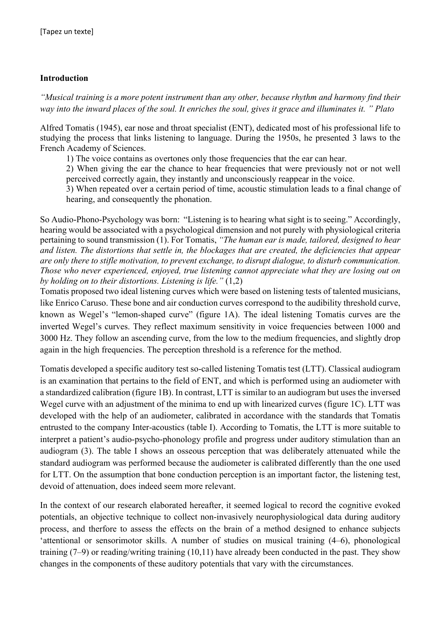#### **Introduction**

*"Musical training is a more potent instrument than any other, because rhythm and harmony find their way into the inward places of the soul. It enriches the soul, gives it grace and illuminates it. " Plato*

Alfred Tomatis (1945), ear nose and throat specialist (ENT), dedicated most of his professional life to studying the process that links listening to language. During the 1950s, he presented 3 laws to the French Academy of Sciences.

1) The voice contains as overtones only those frequencies that the ear can hear.

2) When giving the ear the chance to hear frequencies that were previously not or not well perceived correctly again, they instantly and unconsciously reappear in the voice.

3) When repeated over a certain period of time, acoustic stimulation leads to a final change of hearing, and consequently the phonation.

So Audio-Phono-Psychology was born: "Listening is to hearing what sight is to seeing." Accordingly, hearing would be associated with a psychological dimension and not purely with physiological criteria pertaining to sound transmission (1). For Tomatis, *"The human ear is made, tailored, designed to hear and listen. The distortions that settle in, the blockages that are created, the deficiencies that appear are only there to stifle motivation, to prevent exchange, to disrupt dialogue, to disturb communication. Those who never experienced, enjoyed, true listening cannot appreciate what they are losing out on by holding on to their distortions. Listening is life."* (1,2)

Tomatis proposed two ideal listening curves which were based on listening tests of talented musicians, like Enrico Caruso. These bone and air conduction curves correspond to the audibility threshold curve, known as Wegel's "lemon-shaped curve" (figure 1A). The ideal listening Tomatis curves are the inverted Wegel's curves. They reflect maximum sensitivity in voice frequencies between 1000 and 3000 Hz. They follow an ascending curve, from the low to the medium frequencies, and slightly drop again in the high frequencies. The perception threshold is a reference for the method.

Tomatis developed a specific auditory test so-called listening Tomatis test (LTT). Classical audiogram is an examination that pertains to the field of ENT, and which is performed using an audiometer with a standardized calibration (figure 1B). In contrast, LTT is similar to an audiogram but uses the inversed Wegel curve with an adjustment of the minima to end up with linearized curves (figure 1C). LTT was developed with the help of an audiometer, calibrated in accordance with the standards that Tomatis entrusted to the company Inter-acoustics (table I). According to Tomatis, the LTT is more suitable to interpret a patient's audio-psycho-phonology profile and progress under auditory stimulation than an audiogram (3). The table I shows an osseous perception that was deliberately attenuated while the standard audiogram was performed because the audiometer is calibrated differently than the one used for LTT. On the assumption that bone conduction perception is an important factor, the listening test, devoid of attenuation, does indeed seem more relevant.

In the context of our research elaborated hereafter, it seemed logical to record the cognitive evoked potentials, an objective technique to collect non-invasively neurophysiological data during auditory process, and therfore to assess the effects on the brain of a method designed to enhance subjects 'attentional or sensorimotor skills. A number of studies on musical training (4–6), phonological training (7–9) or reading/writing training (10,11) have already been conducted in the past. They show changes in the components of these auditory potentials that vary with the circumstances.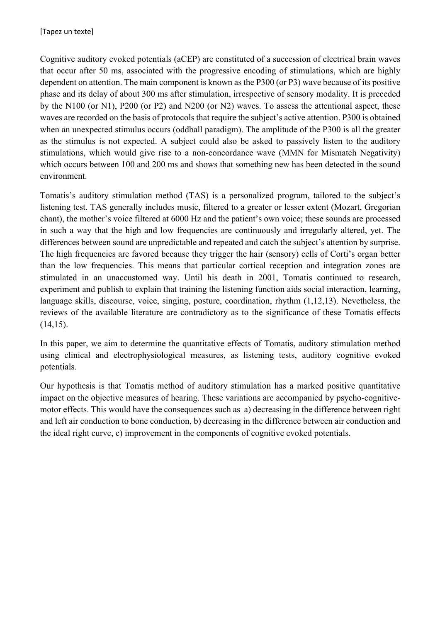Cognitive auditory evoked potentials (aCEP) are constituted of a succession of electrical brain waves that occur after 50 ms, associated with the progressive encoding of stimulations, which are highly dependent on attention. The main component is known as the P300 (or P3) wave because of its positive phase and its delay of about 300 ms after stimulation, irrespective of sensory modality. It is preceded by the N100 (or N1), P200 (or P2) and N200 (or N2) waves. To assess the attentional aspect, these waves are recorded on the basis of protocols that require the subject's active attention. P300 is obtained when an unexpected stimulus occurs (oddball paradigm). The amplitude of the P300 is all the greater as the stimulus is not expected. A subject could also be asked to passively listen to the auditory stimulations, which would give rise to a non-concordance wave (MMN for Mismatch Negativity) which occurs between 100 and 200 ms and shows that something new has been detected in the sound environment.

Tomatis's auditory stimulation method (TAS) is a personalized program, tailored to the subject's listening test. TAS generally includes music, filtered to a greater or lesser extent (Mozart, Gregorian chant), the mother's voice filtered at 6000 Hz and the patient's own voice; these sounds are processed in such a way that the high and low frequencies are continuously and irregularly altered, yet. The differences between sound are unpredictable and repeated and catch the subject's attention by surprise. The high frequencies are favored because they trigger the hair (sensory) cells of Corti's organ better than the low frequencies. This means that particular cortical reception and integration zones are stimulated in an unaccustomed way. Until his death in 2001, Tomatis continued to research, experiment and publish to explain that training the listening function aids social interaction, learning, language skills, discourse, voice, singing, posture, coordination, rhythm (1,12,13). Nevetheless, the reviews of the available literature are contradictory as to the significance of these Tomatis effects (14,15).

In this paper, we aim to determine the quantitative effects of Tomatis, auditory stimulation method using clinical and electrophysiological measures, as listening tests, auditory cognitive evoked potentials.

Our hypothesis is that Tomatis method of auditory stimulation has a marked positive quantitative impact on the objective measures of hearing. These variations are accompanied by psycho-cognitivemotor effects. This would have the consequences such as a) decreasing in the difference between right and left air conduction to bone conduction, b) decreasing in the difference between air conduction and the ideal right curve, c) improvement in the components of cognitive evoked potentials.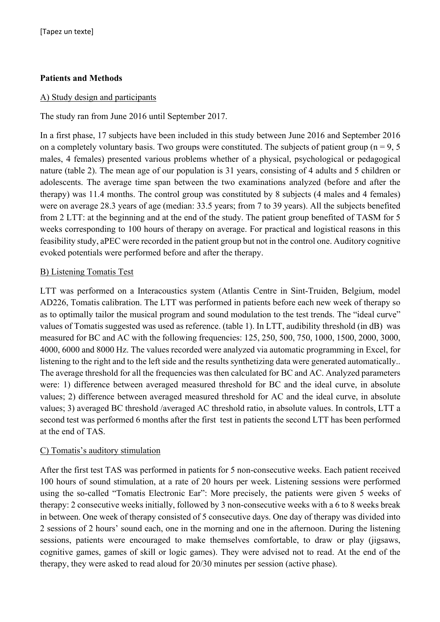#### **Patients and Methods**

#### A) Study design and participants

The study ran from June 2016 until September 2017.

In a first phase, 17 subjects have been included in this study between June 2016 and September 2016 on a completely voluntary basis. Two groups were constituted. The subjects of patient group ( $n = 9, 5$ ) males, 4 females) presented various problems whether of a physical, psychological or pedagogical nature (table 2). The mean age of our population is 31 years, consisting of 4 adults and 5 children or adolescents. The average time span between the two examinations analyzed (before and after the therapy) was 11.4 months. The control group was constituted by 8 subjects (4 males and 4 females) were on average 28.3 years of age (median: 33.5 years; from 7 to 39 years). All the subjects benefited from 2 LTT: at the beginning and at the end of the study. The patient group benefited of TASM for 5 weeks corresponding to 100 hours of therapy on average. For practical and logistical reasons in this feasibility study, aPEC were recorded in the patient group but not in the control one. Auditory cognitive evoked potentials were performed before and after the therapy.

#### B) Listening Tomatis Test

LTT was performed on a Interacoustics system (Atlantis Centre in Sint-Truiden, Belgium, model AD226, Tomatis calibration. The LTT was performed in patients before each new week of therapy so as to optimally tailor the musical program and sound modulation to the test trends. The "ideal curve" values of Tomatis suggested was used as reference. (table 1). In LTT, audibility threshold (in dB) was measured for BC and AC with the following frequencies: 125, 250, 500, 750, 1000, 1500, 2000, 3000, 4000, 6000 and 8000 Hz. The values recorded were analyzed via automatic programming in Excel, for listening to the right and to the left side and the results synthetizing data were generated automatically.. The average threshold for all the frequencies was then calculated for BC and AC. Analyzed parameters were: 1) difference between averaged measured threshold for BC and the ideal curve, in absolute values; 2) difference between averaged measured threshold for AC and the ideal curve, in absolute values; 3) averaged BC threshold /averaged AC threshold ratio, in absolute values. In controls, LTT a second test was performed 6 months after the first test in patients the second LTT has been performed at the end of TAS.

#### C) Tomatis's auditory stimulation

After the first test TAS was performed in patients for 5 non-consecutive weeks. Each patient received 100 hours of sound stimulation, at a rate of 20 hours per week. Listening sessions were performed using the so-called "Tomatis Electronic Ear": More precisely, the patients were given 5 weeks of therapy: 2 consecutive weeks initially, followed by 3 non-consecutive weeks with a 6 to 8 weeks break in between. One week of therapy consisted of 5 consecutive days. One day of therapy was divided into 2 sessions of 2 hours' sound each, one in the morning and one in the afternoon. During the listening sessions, patients were encouraged to make themselves comfortable, to draw or play (jigsaws, cognitive games, games of skill or logic games). They were advised not to read. At the end of the therapy, they were asked to read aloud for 20/30 minutes per session (active phase).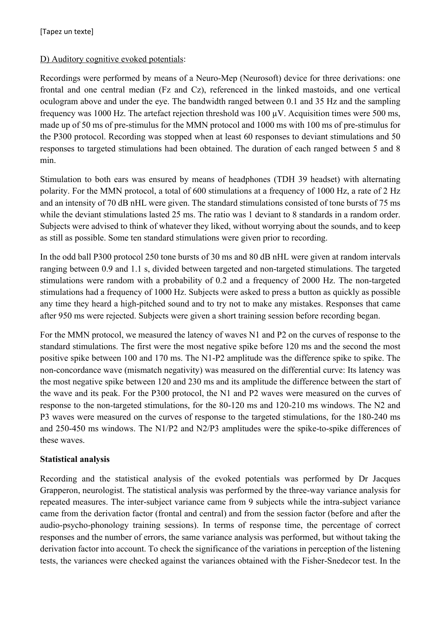#### D) Auditory cognitive evoked potentials:

Recordings were performed by means of a Neuro-Mep (Neurosoft) device for three derivations: one frontal and one central median (Fz and Cz), referenced in the linked mastoids, and one vertical oculogram above and under the eye. The bandwidth ranged between 0.1 and 35 Hz and the sampling frequency was 1000 Hz. The artefact rejection threshold was 100 µV. Acquisition times were 500 ms, made up of 50 ms of pre-stimulus for the MMN protocol and 1000 ms with 100 ms of pre-stimulus for the P300 protocol. Recording was stopped when at least 60 responses to deviant stimulations and 50 responses to targeted stimulations had been obtained. The duration of each ranged between 5 and 8 min.

Stimulation to both ears was ensured by means of headphones (TDH 39 headset) with alternating polarity. For the MMN protocol, a total of 600 stimulations at a frequency of 1000 Hz, a rate of 2 Hz and an intensity of 70 dB nHL were given. The standard stimulations consisted of tone bursts of 75 ms while the deviant stimulations lasted 25 ms. The ratio was 1 deviant to 8 standards in a random order. Subjects were advised to think of whatever they liked, without worrying about the sounds, and to keep as still as possible. Some ten standard stimulations were given prior to recording.

In the odd ball P300 protocol 250 tone bursts of 30 ms and 80 dB nHL were given at random intervals ranging between 0.9 and 1.1 s, divided between targeted and non-targeted stimulations. The targeted stimulations were random with a probability of 0.2 and a frequency of 2000 Hz. The non-targeted stimulations had a frequency of 1000 Hz. Subjects were asked to press a button as quickly as possible any time they heard a high-pitched sound and to try not to make any mistakes. Responses that came after 950 ms were rejected. Subjects were given a short training session before recording began.

For the MMN protocol, we measured the latency of waves N1 and P2 on the curves of response to the standard stimulations. The first were the most negative spike before 120 ms and the second the most positive spike between 100 and 170 ms. The N1-P2 amplitude was the difference spike to spike. The non-concordance wave (mismatch negativity) was measured on the differential curve: Its latency was the most negative spike between 120 and 230 ms and its amplitude the difference between the start of the wave and its peak. For the P300 protocol, the N1 and P2 waves were measured on the curves of response to the non-targeted stimulations, for the 80-120 ms and 120-210 ms windows. The N2 and P3 waves were measured on the curves of response to the targeted stimulations, for the 180-240 ms and 250-450 ms windows. The N1/P2 and N2/P3 amplitudes were the spike-to-spike differences of these waves.

#### **Statistical analysis**

Recording and the statistical analysis of the evoked potentials was performed by Dr Jacques Grapperon, neurologist. The statistical analysis was performed by the three-way variance analysis for repeated measures. The inter-subject variance came from 9 subjects while the intra-subject variance came from the derivation factor (frontal and central) and from the session factor (before and after the audio-psycho-phonology training sessions). In terms of response time, the percentage of correct responses and the number of errors, the same variance analysis was performed, but without taking the derivation factor into account. To check the significance of the variations in perception of the listening tests, the variances were checked against the variances obtained with the Fisher-Snedecor test. In the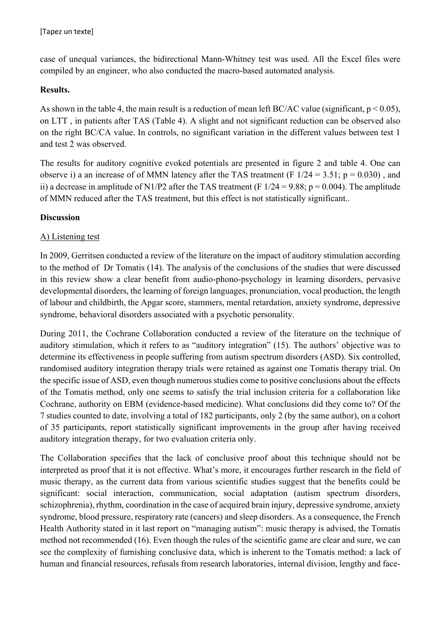case of unequal variances, the bidirectional Mann-Whitney test was used. All the Excel files were compiled by an engineer, who also conducted the macro-based automated analysis.

#### **Results.**

As shown in the table 4, the main result is a reduction of mean left BC/AC value (significant,  $p < 0.05$ ), on LTT , in patients after TAS (Table 4). A slight and not significant reduction can be observed also on the right BC/CA value. In controls, no significant variation in the different values between test 1 and test 2 was observed.

The results for auditory cognitive evoked potentials are presented in figure 2 and table 4. One can observe i) a an increase of of MMN latency after the TAS treatment (F  $1/24 = 3.51$ ; p = 0.030), and ii) a decrease in amplitude of N1/P2 after the TAS treatment (F  $1/24 = 9.88$ ; p = 0.004). The amplitude of MMN reduced after the TAS treatment, but this effect is not statistically significant..

#### **Discussion**

#### A) Listening test

In 2009, Gerritsen conducted a review of the literature on the impact of auditory stimulation according to the method of Dr Tomatis (14). The analysis of the conclusions of the studies that were discussed in this review show a clear benefit from audio-phono-psychology in learning disorders, pervasive developmental disorders, the learning of foreign languages, pronunciation, vocal production, the length of labour and childbirth, the Apgar score, stammers, mental retardation, anxiety syndrome, depressive syndrome, behavioral disorders associated with a psychotic personality.

During 2011, the Cochrane Collaboration conducted a review of the literature on the technique of auditory stimulation, which it refers to as "auditory integration" (15). The authors' objective was to determine its effectiveness in people suffering from autism spectrum disorders (ASD). Six controlled, randomised auditory integration therapy trials were retained as against one Tomatis therapy trial. On the specific issue of ASD, even though numerous studies come to positive conclusions about the effects of the Tomatis method, only one seems to satisfy the trial inclusion criteria for a collaboration like Cochrane, authority on EBM (evidence-based medicine). What conclusions did they come to? Of the 7 studies counted to date, involving a total of 182 participants, only 2 (by the same author), on a cohort of 35 participants, report statistically significant improvements in the group after having received auditory integration therapy, for two evaluation criteria only.

The Collaboration specifies that the lack of conclusive proof about this technique should not be interpreted as proof that it is not effective. What's more, it encourages further research in the field of music therapy, as the current data from various scientific studies suggest that the benefits could be significant: social interaction, communication, social adaptation (autism spectrum disorders, schizophrenia), rhythm, coordination in the case of acquired brain injury, depressive syndrome, anxiety syndrome, blood pressure, respiratory rate (cancers) and sleep disorders. As a consequence, the French Health Authority stated in it last report on "managing autism": music therapy is advised, the Tomatis method not recommended (16). Even though the rules of the scientific game are clear and sure, we can see the complexity of furnishing conclusive data, which is inherent to the Tomatis method: a lack of human and financial resources, refusals from research laboratories, internal division, lengthy and face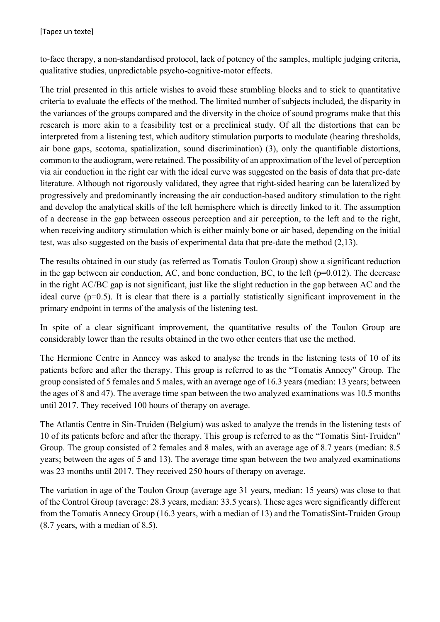to-face therapy, a non-standardised protocol, lack of potency of the samples, multiple judging criteria, qualitative studies, unpredictable psycho-cognitive-motor effects.

The trial presented in this article wishes to avoid these stumbling blocks and to stick to quantitative criteria to evaluate the effects of the method. The limited number of subjects included, the disparity in the variances of the groups compared and the diversity in the choice of sound programs make that this research is more akin to a feasibility test or a preclinical study. Of all the distortions that can be interpreted from a listening test, which auditory stimulation purports to modulate (hearing thresholds, air bone gaps, scotoma, spatialization, sound discrimination) (3), only the quantifiable distortions, common to the audiogram, were retained. The possibility of an approximation of the level of perception via air conduction in the right ear with the ideal curve was suggested on the basis of data that pre-date literature. Although not rigorously validated, they agree that right-sided hearing can be lateralized by progressively and predominantly increasing the air conduction-based auditory stimulation to the right and develop the analytical skills of the left hemisphere which is directly linked to it. The assumption of a decrease in the gap between osseous perception and air perception, to the left and to the right, when receiving auditory stimulation which is either mainly bone or air based, depending on the initial test, was also suggested on the basis of experimental data that pre-date the method (2,13).

The results obtained in our study (as referred as Tomatis Toulon Group) show a significant reduction in the gap between air conduction, AC, and bone conduction, BC, to the left ( $p=0.012$ ). The decrease in the right AC/BC gap is not significant, just like the slight reduction in the gap between AC and the ideal curve (p=0.5). It is clear that there is a partially statistically significant improvement in the primary endpoint in terms of the analysis of the listening test.

In spite of a clear significant improvement, the quantitative results of the Toulon Group are considerably lower than the results obtained in the two other centers that use the method.

The Hermione Centre in Annecy was asked to analyse the trends in the listening tests of 10 of its patients before and after the therapy. This group is referred to as the "Tomatis Annecy" Group. The group consisted of 5 females and 5 males, with an average age of 16.3 years (median: 13 years; between the ages of 8 and 47). The average time span between the two analyzed examinations was 10.5 months until 2017. They received 100 hours of therapy on average.

The Atlantis Centre in Sin-Truiden (Belgium) was asked to analyze the trends in the listening tests of 10 of its patients before and after the therapy. This group is referred to as the "Tomatis Sint-Truiden" Group. The group consisted of 2 females and 8 males, with an average age of 8.7 years (median: 8.5 years; between the ages of 5 and 13). The average time span between the two analyzed examinations was 23 months until 2017. They received 250 hours of therapy on average.

The variation in age of the Toulon Group (average age 31 years, median: 15 years) was close to that of the Control Group (average: 28.3 years, median: 33.5 years). These ages were significantly different from the Tomatis Annecy Group (16.3 years, with a median of 13) and the TomatisSint-Truiden Group (8.7 years, with a median of 8.5).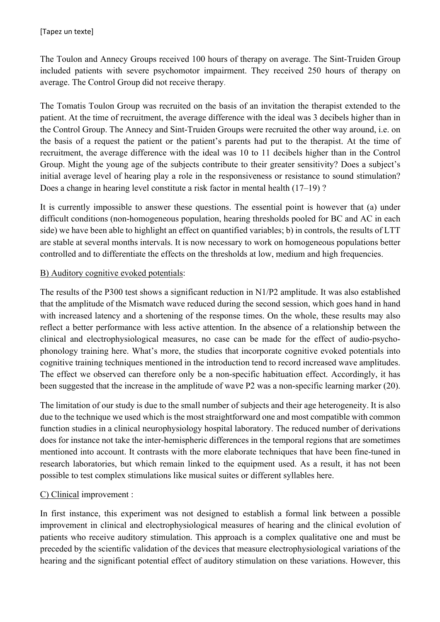The Toulon and Annecy Groups received 100 hours of therapy on average. The Sint-Truiden Group included patients with severe psychomotor impairment. They received 250 hours of therapy on average. The Control Group did not receive therapy.

The Tomatis Toulon Group was recruited on the basis of an invitation the therapist extended to the patient. At the time of recruitment, the average difference with the ideal was 3 decibels higher than in the Control Group. The Annecy and Sint-Truiden Groups were recruited the other way around, i.e. on the basis of a request the patient or the patient's parents had put to the therapist. At the time of recruitment, the average difference with the ideal was 10 to 11 decibels higher than in the Control Group. Might the young age of the subjects contribute to their greater sensitivity? Does a subject's initial average level of hearing play a role in the responsiveness or resistance to sound stimulation? Does a change in hearing level constitute a risk factor in mental health (17–19) ?

It is currently impossible to answer these questions. The essential point is however that (a) under difficult conditions (non-homogeneous population, hearing thresholds pooled for BC and AC in each side) we have been able to highlight an effect on quantified variables; b) in controls, the results of LTT are stable at several months intervals. It is now necessary to work on homogeneous populations better controlled and to differentiate the effects on the thresholds at low, medium and high frequencies.

#### B) Auditory cognitive evoked potentials:

The results of the P300 test shows a significant reduction in N1/P2 amplitude. It was also established that the amplitude of the Mismatch wave reduced during the second session, which goes hand in hand with increased latency and a shortening of the response times. On the whole, these results may also reflect a better performance with less active attention. In the absence of a relationship between the clinical and electrophysiological measures, no case can be made for the effect of audio-psychophonology training here. What's more, the studies that incorporate cognitive evoked potentials into cognitive training techniques mentioned in the introduction tend to record increased wave amplitudes. The effect we observed can therefore only be a non-specific habituation effect. Accordingly, it has been suggested that the increase in the amplitude of wave P2 was a non-specific learning marker (20).

The limitation of our study is due to the small number of subjects and their age heterogeneity. It is also due to the technique we used which is the most straightforward one and most compatible with common function studies in a clinical neurophysiology hospital laboratory. The reduced number of derivations does for instance not take the inter-hemispheric differences in the temporal regions that are sometimes mentioned into account. It contrasts with the more elaborate techniques that have been fine-tuned in research laboratories, but which remain linked to the equipment used. As a result, it has not been possible to test complex stimulations like musical suites or different syllables here.

# C) Clinical improvement :

In first instance, this experiment was not designed to establish a formal link between a possible improvement in clinical and electrophysiological measures of hearing and the clinical evolution of patients who receive auditory stimulation. This approach is a complex qualitative one and must be preceded by the scientific validation of the devices that measure electrophysiological variations of the hearing and the significant potential effect of auditory stimulation on these variations. However, this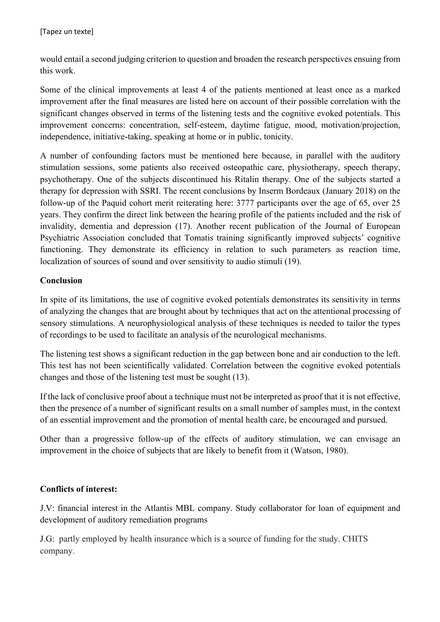would entail a second judging criterion to question and broaden the research perspectives ensuing from this work.

Some of the clinical improvements at least 4 of the patients mentioned at least once as a marked improvement after the final measures are listed here on account of their possible correlation with the significant changes observed in terms of the listening tests and the cognitive evoked potentials. This improvement concerns: concentration, self-esteem, daytime fatigue, mood, motivation/projection, independence, initiative-taking, speaking at home or in public, tonicity.

A number of confounding factors must be mentioned here because, in parallel with the auditory stimulation sessions, some patients also received osteopathic care, physiotherapy, speech therapy, psychotherapy. One of the subjects discontinued his Ritalin therapy. One of the subjects started a therapy for depression with SSRI. The recent conclusions by Inserm Bordeaux (January 2018) on the follow-up of the Paquid cohort merit reiterating here: 3777 participants over the age of 65, over 25 years. They confirm the direct link between the hearing profile of the patients included and the risk of invalidity, dementia and depression (17). Another recent publication of the Journal of European Psychiatric Association concluded that Tomatis training significantly improved subjects' cognitive functioning. They demonstrate its efficiency in relation to such parameters as reaction time, localization of sources of sound and over sensitivity to audio stimuli (19).

#### **Conclusion**

In spite of its limitations, the use of cognitive evoked potentials demonstrates its sensitivity in terms of analyzing the changes that are brought about by techniques that act on the attentional processing of sensory stimulations. A neurophysiological analysis of these techniques is needed to tailor the types of recordings to be used to facilitate an analysis of the neurological mechanisms.

The listening test shows a significant reduction in the gap between bone and air conduction to the left. This test has not been scientifically validated. Correlation between the cognitive evoked potentials changes and those of the listening test must be sought (13).

If the lack of conclusive proof about a technique must not be interpreted as proof that it is not effective, then the presence of a number of significant results on a small number of samples must, in the context of an essential improvement and the promotion of mental health care, be encouraged and pursued.

Other than a progressive follow-up of the effects of auditory stimulation, we can envisage an improvement in the choice of subjects that are likely to benefit from it (Watson, 1980).

# **Conflicts of interest:**

J.V: financial interest in the Atlantis MBL company. Study collaborator for loan of equipment and development of auditory remediation programs

J.G: partly employed by health insurance which is a source of funding for the study. CHITS company.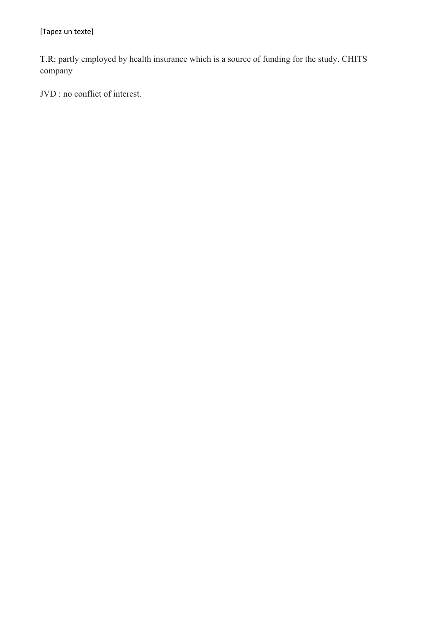T.R: partly employed by health insurance which is a source of funding for the study. CHITS company

JVD : no conflict of interest.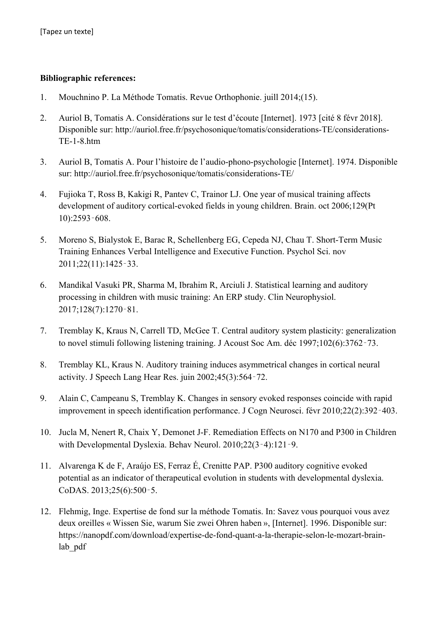#### **Bibliographic references:**

- 1. Mouchnino P. La Méthode Tomatis. Revue Orthophonie. juill 2014;(15).
- 2. Auriol B, Tomatis A. Considérations sur le test d'écoute [Internet]. 1973 [cité 8 févr 2018]. Disponible sur: http://auriol.free.fr/psychosonique/tomatis/considerations-TE/considerations-TE-1-8.htm
- 3. Auriol B, Tomatis A. Pour l'histoire de l'audio-phono-psychologie [Internet]. 1974. Disponible sur: http://auriol.free.fr/psychosonique/tomatis/considerations-TE/
- 4. Fujioka T, Ross B, Kakigi R, Pantev C, Trainor LJ. One year of musical training affects development of auditory cortical-evoked fields in young children. Brain. oct 2006;129(Pt 10):2593-608.
- 5. Moreno S, Bialystok E, Barac R, Schellenberg EG, Cepeda NJ, Chau T. Short-Term Music Training Enhances Verbal Intelligence and Executive Function. Psychol Sci. nov 2011;22(11):1425-33.
- 6. Mandikal Vasuki PR, Sharma M, Ibrahim R, Arciuli J. Statistical learning and auditory processing in children with music training: An ERP study. Clin Neurophysiol. 2017;128(7):1270-81.
- 7. Tremblay K, Kraus N, Carrell TD, McGee T. Central auditory system plasticity: generalization to novel stimuli following listening training. J Acoust Soc Am. déc 1997;102(6):3762-73.
- 8. Tremblay KL, Kraus N. Auditory training induces asymmetrical changes in cortical neural activity. J Speech Lang Hear Res. juin 2002;45(3):56472.
- 9. Alain C, Campeanu S, Tremblay K. Changes in sensory evoked responses coincide with rapid improvement in speech identification performance. J Cogn Neurosci. févr 2010;22(2):392-403.
- 10. Jucla M, Nenert R, Chaix Y, Demonet J-F. Remediation Effects on N170 and P300 in Children with Developmental Dyslexia. Behav Neurol. 2010;22(3-4):121-9.
- 11. Alvarenga K de F, Araújo ES, Ferraz É, Crenitte PAP. P300 auditory cognitive evoked potential as an indicator of therapeutical evolution in students with developmental dyslexia. CoDAS. 2013;25(6):500-5.
- 12. Flehmig, Inge. Expertise de fond sur la méthode Tomatis. In: Savez vous pourquoi vous avez deux oreilles « Wissen Sie, warum Sie zwei Ohren haben », [Internet]. 1996. Disponible sur: https://nanopdf.com/download/expertise-de-fond-quant-a-la-therapie-selon-le-mozart-brainlab\_pdf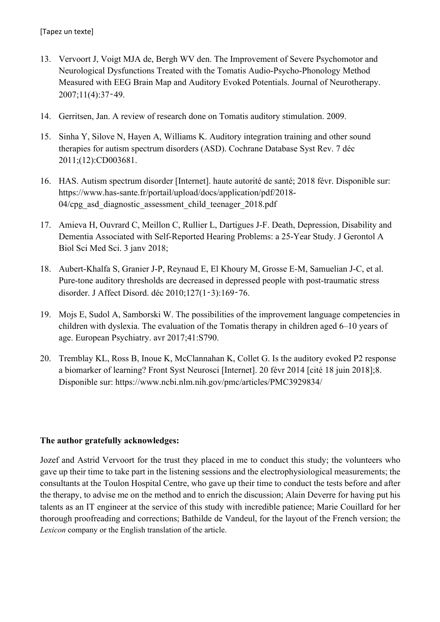- 13. Vervoort J, Voigt MJA de, Bergh WV den. The Improvement of Severe Psychomotor and Neurological Dysfunctions Treated with the Tomatis Audio-Psycho-Phonology Method Measured with EEG Brain Map and Auditory Evoked Potentials. Journal of Neurotherapy.  $2007:11(4):37-49.$
- 14. Gerritsen, Jan. A review of research done on Tomatis auditory stimulation. 2009.
- 15. Sinha Y, Silove N, Hayen A, Williams K. Auditory integration training and other sound therapies for autism spectrum disorders (ASD). Cochrane Database Syst Rev. 7 déc 2011;(12):CD003681.
- 16. HAS. Autism spectrum disorder [Internet]. haute autorité de santé; 2018 févr. Disponible sur: https://www.has-sante.fr/portail/upload/docs/application/pdf/2018- 04/cpg\_asd\_diagnostic\_assessment\_child\_teenager\_2018.pdf
- 17. Amieva H, Ouvrard C, Meillon C, Rullier L, Dartigues J-F. Death, Depression, Disability and Dementia Associated with Self-Reported Hearing Problems: a 25-Year Study. J Gerontol A Biol Sci Med Sci. 3 janv 2018;
- 18. Aubert-Khalfa S, Granier J-P, Reynaud E, El Khoury M, Grosse E-M, Samuelian J-C, et al. Pure-tone auditory thresholds are decreased in depressed people with post-traumatic stress disorder. J Affect Disord. déc 2010;127(1-3):169-76.
- 19. Mojs E, Sudol A, Samborski W. The possibilities of the improvement language competencies in children with dyslexia. The evaluation of the Tomatis therapy in children aged 6–10 years of age. European Psychiatry. avr 2017;41:S790.
- 20. Tremblay KL, Ross B, Inoue K, McClannahan K, Collet G. Is the auditory evoked P2 response a biomarker of learning? Front Syst Neurosci [Internet]. 20 févr 2014 [cité 18 juin 2018];8. Disponible sur: https://www.ncbi.nlm.nih.gov/pmc/articles/PMC3929834/

# **The author gratefully acknowledges:**

Jozef and Astrid Vervoort for the trust they placed in me to conduct this study; the volunteers who gave up their time to take part in the listening sessions and the electrophysiological measurements; the consultants at the Toulon Hospital Centre, who gave up their time to conduct the tests before and after the therapy, to advise me on the method and to enrich the discussion; Alain Deverre for having put his talents as an IT engineer at the service of this study with incredible patience; Marie Couillard for her thorough proofreading and corrections; Bathilde de Vandeul, for the layout of the French version; the *Lexicon* company or the English translation of the article.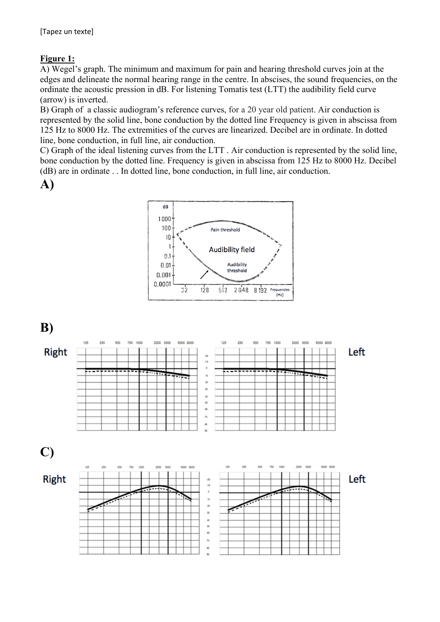# **Figure 1:**

A) Wegel's graph. The minimum and maximum for pain and hearing threshold curves join at the edges and delineate the normal hearing range in the centre. In abscises, the sound frequencies, on the ordinate the acoustic pression in dB. For listening Tomatis test (LTT) the audibility field curve (arrow) is inverted.

B) Graph of a classic audiogram's reference curves, for a 20 year old patient. Air conduction is represented by the solid line, bone conduction by the dotted line Frequency is given in abscissa from 125 Hz to 8000 Hz. The extremities of the curves are linearized. Decibel are in ordinate. In dotted line, bone conduction, in full line, air conduction.

C) Graph of the ideal listening curves from the LTT . Air conduction is represented by the solid line, bone conduction by the dotted line. Frequency is given in abscissa from 125 Hz to 8000 Hz. Decibel (dB) are in ordinate . . In dotted line, bone conduction, in full line, air conduction.

**A)**



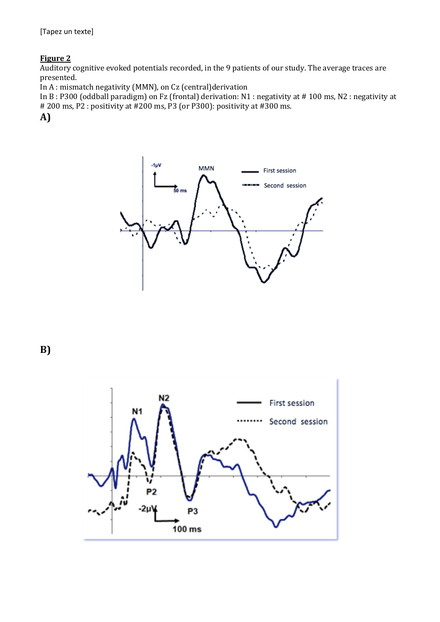# **Figure 2**

Auditory cognitive evoked potentials recorded, in the 9 patients of our study. The average traces are presented.

In  $A$ : mismatch negativity (MMN), on Cz (central)derivation

In B: P300 (oddball paradigm) on Fz (frontal) derivation: N1 : negativity at # 100 ms, N2 : negativity at # 200 ms, P2 : positivity at #200 ms, P3 (or P300): positivity at #300 ms.

**A)**



**B)**

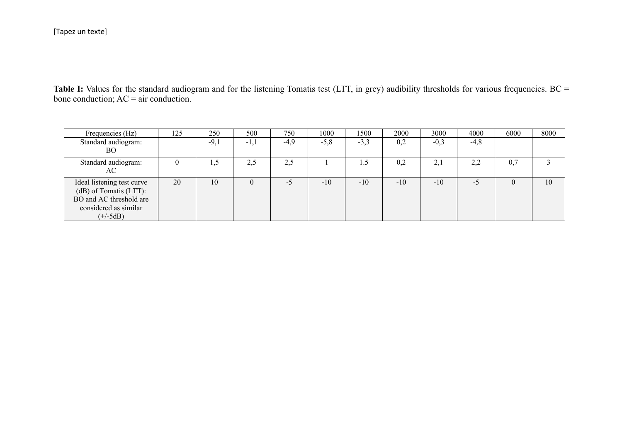Table I: Values for the standard audiogram and for the listening Tomatis test (LTT, in grey) audibility thresholds for various frequencies. BC = bone conduction;  $AC = air$  conduction.

| Frequencies (Hz)                                                                                                       | 125 | 250    | 500      | 750    | 1000   | 1500   | 2000  | 3000   | 4000   | 6000 | 8000 |
|------------------------------------------------------------------------------------------------------------------------|-----|--------|----------|--------|--------|--------|-------|--------|--------|------|------|
| Standard audiogram:<br>BO                                                                                              |     | $-9,1$ | $-1,1$   | $-4,9$ | $-5,8$ | $-3,3$ | 0,2   | $-0,3$ | $-4,8$ |      |      |
| Standard audiogram:<br>AC                                                                                              |     | L,J    | 2,5      | 2,5    |        | L.)    | 0,2   | 2,1    | 2,2    | 0,7  |      |
| Ideal listening test curve<br>(dB) of Tomatis (LTT):<br>BO and AC threshold are<br>considered as similar<br>$(+/-5dB)$ | 20  | 10     | $\theta$ | -5     | $-10$  | $-10$  | $-10$ | $-10$  | -5     |      | 10   |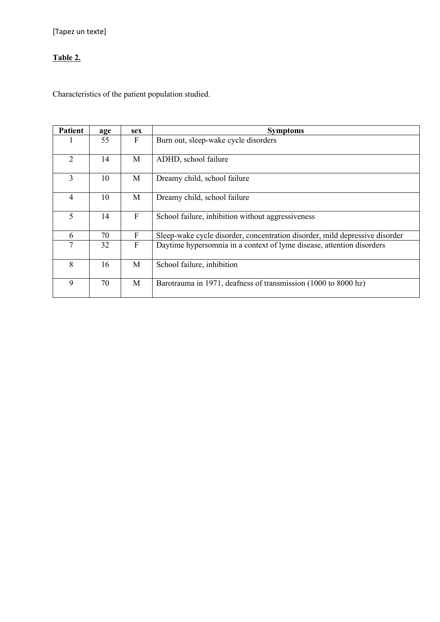# **Table 2.**

Characteristics of the patient population studied.

| <b>Patient</b> | age | sex          | <b>Symptoms</b>                                                             |
|----------------|-----|--------------|-----------------------------------------------------------------------------|
|                | 55  | F            | Burn out, sleep-wake cycle disorders                                        |
| 2              | 14  | M            | ADHD, school failure                                                        |
| 3              | 10  | M            | Dreamy child, school failure                                                |
| $\overline{4}$ | 10  | M            | Dreamy child, school failure                                                |
| 5              | 14  | F            | School failure, inhibition without aggressiveness                           |
| 6              | 70  | $\mathbf{F}$ | Sleep-wake cycle disorder, concentration disorder, mild depressive disorder |
| 7              | 32  | F            | Daytime hypersomnia in a context of lyme disease, attention disorders       |
| 8              | 16  | M            | School failure, inhibition                                                  |
| 9              | 70  | M            | Barotrauma in 1971, deafness of transmission (1000 to 8000 hz)              |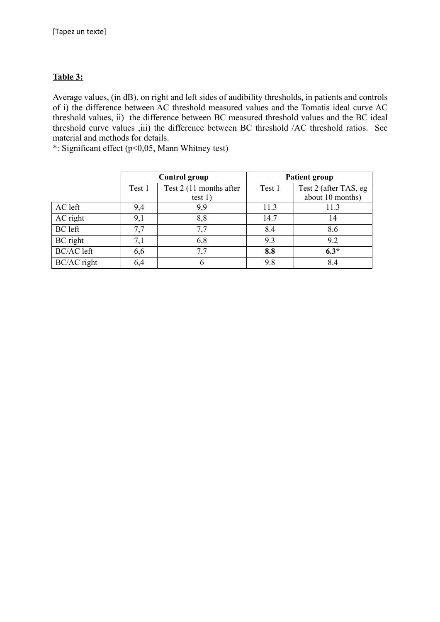# **Table 3:**

Average values, (in dB), on right and left sides of audibility thresholds, in patients and controls of i) the difference between AC threshold measured values and the Tomatis ideal curve AC threshold values, ii) the difference between BC measured threshold values and the BC ideal threshold curve values ,iii) the difference between BC threshold /AC threshold ratios. See material and methods for details.

\*: Significant effect (p<0,05, Mann Whitney test)

|                   |        | <b>Control group</b>    | <b>Patient group</b> |                       |  |  |
|-------------------|--------|-------------------------|----------------------|-----------------------|--|--|
|                   | Test 1 | Test 2 (11 months after | Test 1               | Test 2 (after TAS, eg |  |  |
|                   |        | test $1)$               |                      | about 10 months)      |  |  |
| AC left           | 9,4    | 9,9                     | 11.3                 | 11.3                  |  |  |
| AC right          | 9,1    | 8,8                     | 14.7                 | 14                    |  |  |
| BC left           | 7,7    | 7,7                     | 8.4                  | 8.6                   |  |  |
| BC right          | 7,1    | 6,8                     | 9.3                  | 9.2                   |  |  |
| <b>BC/AC</b> left | 6,6    | 7,7                     | 8.8                  | $6.3*$                |  |  |
| BC/AC right       | 6,4    | h                       | 9.8                  | 8.4                   |  |  |